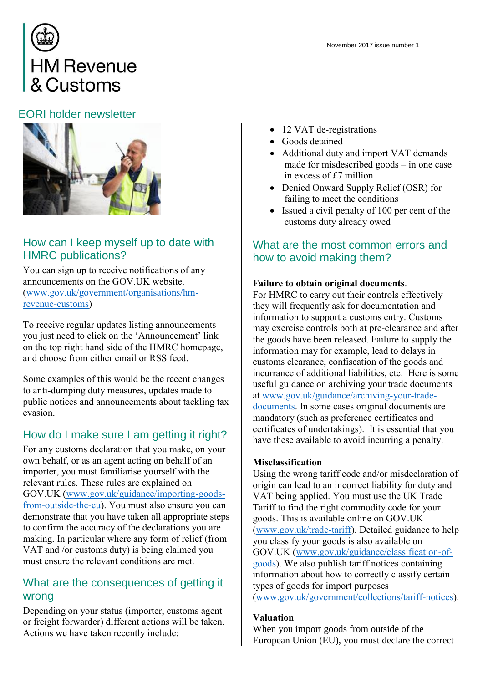

# EORI holder newsletter



# How can I keep myself up to date with HMRC publications?

You can sign up to receive notifications of any announcements on the GOV.UK website. [\(www.gov.uk/government/organisations/hm](https://www.gov.uk/government/organisations/hm-revenue-customs)[revenue-customs\)](https://www.gov.uk/government/organisations/hm-revenue-customs)

To receive regular updates listing announcements you just need to click on the 'Announcement' link on the top right hand side of the HMRC homepage, and choose from either email or RSS feed.

Some examples of this would be the recent changes to anti-dumping duty measures, updates made to public notices and announcements about tackling tax evasion.

# How do I make sure I am getting it right?

For any customs declaration that you make, on your own behalf, or as an agent acting on behalf of an importer, you must familiarise yourself with the relevant rules. These rules are explained on GOV.UK [\(www.gov.uk/guidance/importing-goods](http://www.gov.uk/guidance/importing-goods-from-outside-the-eu)[from-outside-the-eu\)](http://www.gov.uk/guidance/importing-goods-from-outside-the-eu). You must also ensure you can demonstrate that you have taken all appropriate steps to confirm the accuracy of the declarations you are making. In particular where any form of relief (from VAT and /or customs duty) is being claimed you must ensure the relevant conditions are met.

### What are the consequences of getting it wrong

Depending on your status (importer, customs agent or freight forwarder) different actions will be taken. Actions we have taken recently include:

November 2017 issue number 1

- 12 VAT de-registrations
- Goods detained
- Additional duty and import VAT demands made for misdescribed goods – in one case in excess of £7 million
- Denied Onward Supply Relief (OSR) for failing to meet the conditions
- Issued a civil penalty of 100 per cent of the customs duty already owed

# What are the most common errors and how to avoid making them?

### Failure to obtain original documents.

For HMRC to carry out their controls effectively they will frequently ask for documentation and information to support a customs entry. Customs may exercise controls both at pre-clearance and after the goods have been released. Failure to supply the information may for example, lead to delays in customs clearance, confiscation of the goods and incurrance of additional liabilities, etc. Here is some useful guidance on archiving your trade documents at [www.gov.uk/guidance/archiving-your-trade](http://www.gov.uk/guidance/archiving-your-trade-documents)[documents.](http://www.gov.uk/guidance/archiving-your-trade-documents) In some cases original documents are mandatory (such as preference certificates and certificates of undertakings). It is essential that you have these available to avoid incurring a penalty.

#### Misclassification

Using the wrong tariff code and/or misdeclaration of origin can lead to an incorrect liability for duty and VAT being applied. You must use the UK Trade Tariff to find the right commodity code for your goods. This is available online on GOV.UK [\(www.gov.uk/trade-tariff\)](https://www.gov.uk/trade-tariff). Detailed guidance to help you classify your goods is also available on GOV.UK [\(www.gov.uk/guidance/classification-of](file:///C:/Users/7112316/AppData/Local/Microsoft/Windows/INetCache/Content.Outlook/AppData/Local/Microsoft/Windows/INetCache/Content.Outlook/JM00PTNB/www.gov.uk/guidance/classification-of-goods)[goods\)](file:///C:/Users/7112316/AppData/Local/Microsoft/Windows/INetCache/Content.Outlook/AppData/Local/Microsoft/Windows/INetCache/Content.Outlook/JM00PTNB/www.gov.uk/guidance/classification-of-goods). We also publish tariff notices containing information about how to correctly classify certain types of goods for import purposes [\(www.gov.uk/government/collections/tariff-notices\)](file:///C:/Users/7112316/AppData/Local/Microsoft/Windows/INetCache/Content.Outlook/AppData/Local/Microsoft/Windows/INetCache/Content.Outlook/JM00PTNB/www.gov.uk/government/collections/tariff-notices).

#### Valuation

When you import goods from outside of the European Union (EU), you must declare the correct